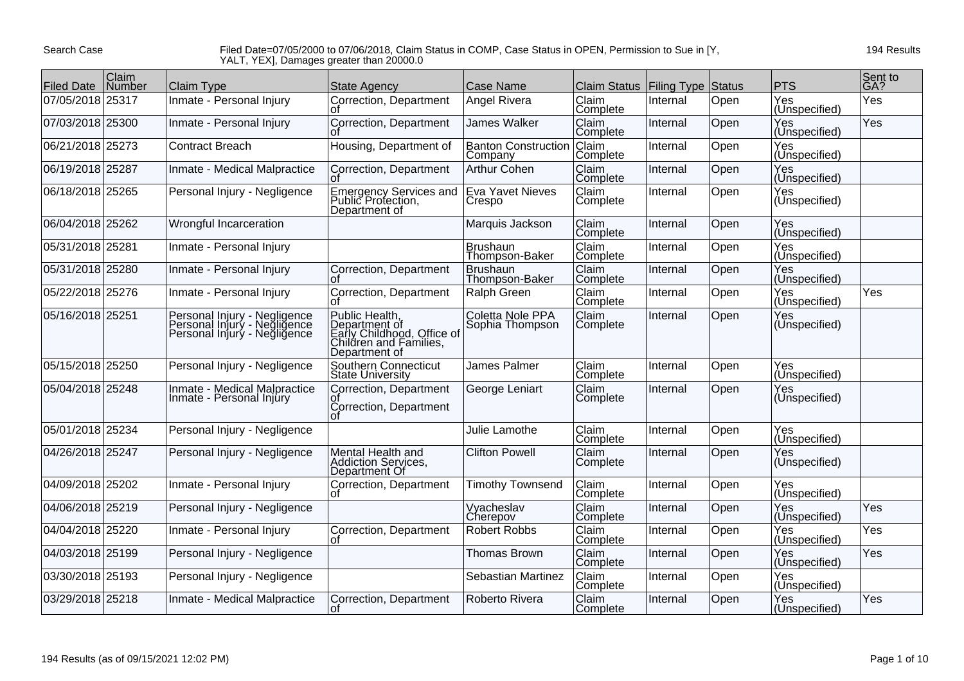Search Case

## Filed Date=07/05/2000 to 07/06/2018, Claim Status in COMP, Case Status in OPEN, Permission to Sue in [Y, YALT, YEX], Damages greater than 20000.0

194 Results

| <b>Filed Date</b> | Claim<br><b>Number</b> | <b>Claim Type</b>                                                                            | <b>State Agency</b>                                                                                      | Case Name                             | Claim Status   Filing Type Status |          |      | <b>PTS</b>                   | Sent to<br>GA? |
|-------------------|------------------------|----------------------------------------------------------------------------------------------|----------------------------------------------------------------------------------------------------------|---------------------------------------|-----------------------------------|----------|------|------------------------------|----------------|
| 07/05/2018        | 25317                  | Inmate - Personal Injury                                                                     | Correction, Department<br>ΩT                                                                             | Angel Rivera                          | Claim<br>Complete                 | Internal | Open | Yes<br>(Unspecified)         | Yes            |
| 07/03/2018 25300  |                        | Inmate - Personal Injury                                                                     | Correction, Department<br>n1                                                                             | James Walker                          | <b>Claim</b><br>Complete          | Internal | Open | Yes<br>(Unspecified)         | Yes            |
| 06/21/2018 25273  |                        | <b>Contract Breach</b>                                                                       | Housing, Department of                                                                                   | <b>Banton Construction</b><br>Company | Claim<br>Complete                 | Internal | Open | Yes<br>(Unspecified)         |                |
| 06/19/2018 25287  |                        | Inmate - Medical Malpractice                                                                 | Correction, Department                                                                                   | <b>Arthur Cohen</b>                   | Claim<br>Complete                 | Internal | Open | Yes<br>(Unspecified)         |                |
| 06/18/2018 25265  |                        | Personal Injury - Negligence                                                                 | Emergency Services and<br>Public Protection,<br>Department of                                            | Eva Yavet Nieves<br>Crespo            | Claim<br>Complete                 | Internal | Open | Yes<br>(Unspecified)         |                |
| 06/04/2018 25262  |                        | Wrongful Incarceration                                                                       |                                                                                                          | Marquis Jackson                       | Claim<br>Complete                 | Internal | Open | Yes<br>(Unspecified)         |                |
| 05/31/2018 25281  |                        | Inmate - Personal Injury                                                                     |                                                                                                          | Brushaun<br>Thompson-Baker            | Claim<br>Complete                 | Internal | Open | Yes<br>(Unspecified)         |                |
| 05/31/2018 25280  |                        | Inmate - Personal Injury                                                                     | Correction, Department                                                                                   | Brushaun<br>Thompson-Baker            | Claim<br>Complete                 | Internal | Open | Yes<br>(Unspecified)         |                |
| 05/22/2018 25276  |                        | Inmate - Personal Injury                                                                     | Correction, Department<br>ΩŤ                                                                             | Ralph Green                           | <b>Claim</b><br>Complete          | Internal | Open | Yes<br>(Unspecified)         | Yes            |
| 05/16/2018 25251  |                        | Personal Injury - Negligence<br>Personal Injury - Negligence<br>Personal Injury - Negligence | Public Health,<br>Department of<br>Early Childhood, Office of<br>Children and Families,<br>Department of | Coletta Nole PPA<br>Sophia Thompson   | Claim<br>Complete                 | Internal | Open | Yes<br>(Unspecified)         |                |
| 05/15/2018 25250  |                        | Personal Injury - Negligence                                                                 | Southern Connecticut<br><b>State University</b>                                                          | James Palmer                          | Claim<br>Complete                 | Internal | Open | Yes<br>(Unspecified)         |                |
| 05/04/2018 25248  |                        | Inmate - Medical Malpractice<br>Inmate - Personal Injury                                     | Correction, Department<br>ΟĪ<br>Correction, Department                                                   | George Leniart                        | Claim<br>Complete                 | Internal | Open | Yes<br>(Unspecified)         |                |
| 05/01/2018 25234  |                        | Personal Injury - Negligence                                                                 |                                                                                                          | Julie Lamothe                         | Claim<br>Complete                 | Internal | Open | Yes<br>(Unspecified)         |                |
| 04/26/2018 25247  |                        | Personal Injury - Negligence                                                                 | Mental Health and<br><b>Addiction Services,</b><br>Department Of                                         | <b>Clifton Powell</b>                 | Claim<br>Complete                 | Internal | Open | Yes<br>(Unspecified)         |                |
| 04/09/2018 25202  |                        | Inmate - Personal Injury                                                                     | Correction, Department<br>Οt                                                                             | <b>Timothy Townsend</b>               | Claim<br>Complete                 | Internal | Open | Yes<br>(Unspecified)         |                |
| 04/06/2018 25219  |                        | Personal Injury - Negligence                                                                 |                                                                                                          | Vyacheslav<br>Cherepov                | Claim<br>Complete                 | Internal | Open | Yes<br>(Unspecified)         | Yes            |
| 04/04/2018 25220  |                        | Inmate - Personal Injury                                                                     | Correction, Department<br>Ωt                                                                             | <b>Robert Robbs</b>                   | Claim<br>Complete                 | Internal | Open | Yes<br>(Un <u>specified)</u> | Yes            |
| 04/03/2018 25199  |                        | Personal Injury - Negligence                                                                 |                                                                                                          | <b>Thomas Brown</b>                   | Claim<br>Complete                 | Internal | Open | Yes<br>(Unspecified)         | Yes            |
| 03/30/2018 25193  |                        | Personal Injury - Negligence                                                                 |                                                                                                          | Sebastian Martinez                    | Claim<br>Complete                 | Internal | Open | Yes<br>(Unspecified)         |                |
| 03/29/2018 25218  |                        | Inmate - Medical Malpractice                                                                 | Correction, Department<br>l Of                                                                           | Roberto Rivera                        | Claim<br>Complete                 | Internal | Open | Yes<br>(Unspecified)         | Yes            |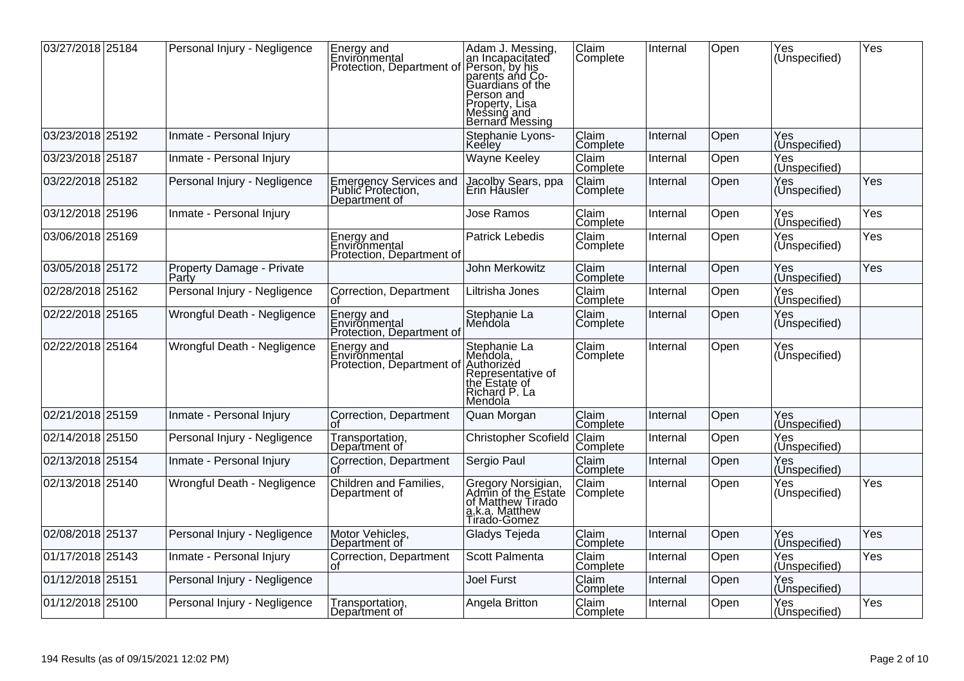| 03/27/2018 25184 | Personal Injury - Negligence       | Energy and<br>Environmental<br>Protection, Department of      | Adam J. Messing,<br>an Incapacitated<br>Person, by his<br>parents and Co-<br>Guardians of the<br>Person and<br>Property, Lisa<br>Messing and<br>Bernard Messing | Claim<br>Complete        | Internal | Open | Yes<br>(Unspecified)         | Yes |
|------------------|------------------------------------|---------------------------------------------------------------|-----------------------------------------------------------------------------------------------------------------------------------------------------------------|--------------------------|----------|------|------------------------------|-----|
| 03/23/2018 25192 | Inmate - Personal Injury           |                                                               | Stephanie Lyons-<br>Keelev                                                                                                                                      | Claim<br>Complete        | Internal | Open | Yes<br>(Unspecified)         |     |
| 03/23/2018 25187 | Inmate - Personal Injury           |                                                               | <b>Wayne Keeley</b>                                                                                                                                             | Claim<br>Complete        | Internal | Open | Yes<br>(Unspecified)         |     |
| 03/22/2018 25182 | Personal Injury - Negligence       | Emergency Services and<br>Public Protection,<br>Department of | Jacolby Sears, ppa<br>Erin Hausler                                                                                                                              | <b>Claim</b><br>Complete | Internal | Open | Yes<br>(Unspecified)         | Yes |
| 03/12/2018 25196 | Inmate - Personal Injury           |                                                               | Jose Ramos                                                                                                                                                      | Claim<br>Complete        | Internal | Open | Yes<br>(Unspecified)         | Yes |
| 03/06/2018 25169 |                                    | Energy and<br>Environmental<br>Protection, Department of      | <b>Patrick Lebedis</b>                                                                                                                                          | Claim<br>Complete        | Internal | Open | Yes<br>(Unspecified)         | Yes |
| 03/05/2018 25172 | Property Damage - Private<br>Party |                                                               | John Merkowitz                                                                                                                                                  | Claim<br>Complete        | Internal | Open | Yes<br>(Unspecified)         | Yes |
| 02/28/2018 25162 | Personal Injury - Negligence       | Correction, Department                                        | Liltrisha Jones                                                                                                                                                 | Claim<br>Complete        | Internal | Open | Yes<br>(Unspecified)         |     |
| 02/22/2018 25165 | Wrongful Death - Negligence        | Energy and<br>Environmental<br>Protection, Department of      | Stephanie La<br>Mendola                                                                                                                                         | Claim<br>Complete        | Internal | Open | Yes<br>(Unspecified)         |     |
| 02/22/2018 25164 | Wrongful Death - Negligence        | Energy and<br>Environmental<br>Protection, Department of      | Stephanie La<br>Mendola,<br>Authorized<br>Representative of<br>the Estate of<br>the Estate of<br>Richard P. La<br>Mendola                                       | Claim<br>Complete        | Internal | Open | Yes<br>(Unspecified)         |     |
| 02/21/2018 25159 | Inmate - Personal Injury           | Correction, Department                                        | Quan Morgan                                                                                                                                                     | Claim<br>Complete        | Internal | Open | Yes<br>(Unspecified)         |     |
| 02/14/2018 25150 | Personal Injury - Negligence       | Transportation,<br>Department of                              | <b>Christopher Scofield</b>                                                                                                                                     | <b>Claim</b><br>Complete | Internal | Open | Yes<br>(U <u>nspecified)</u> |     |
| 02/13/2018 25154 | Inmate - Personal Injury           | Correction, Department                                        | Sergio Paul                                                                                                                                                     | Claim<br>Complete        | Internal | Open | Yes<br>(Unspecified)         |     |
| 02/13/2018 25140 | Wrongful Death - Negligence        | Children and Families,<br>Department of                       | Gregory Norsigian,<br>Admin of the Estate<br>of Matthew Tirado<br><u>a</u> .k.a. Matthew<br>Tirado-Gomez                                                        | Claim<br>Complete        | Internal | Open | Yes<br>(Unspecified)         | Yes |
| 02/08/2018 25137 | Personal Injury - Negligence       | Motor Vehicles,<br>Department of                              | Gladys Tejeda                                                                                                                                                   | Claim<br>Complete        | Internal | Open | Yes<br>(Unspecified)         | Yes |
| 01/17/2018 25143 | Inmate - Personal Injury           | Correction, Department                                        | Scott Palmenta                                                                                                                                                  | Claim<br>Complete        | Internal | Open | Yes<br>(Unspecified)         | Yes |
| 01/12/2018 25151 | Personal Injury - Negligence       |                                                               | <b>Joel Furst</b>                                                                                                                                               | Claim<br>Complete        | Internal | Open | Yes<br>(Unspecified)         |     |
| 01/12/2018 25100 | Personal Injury - Negligence       | Transportation,<br>Department of                              | Angela Britton                                                                                                                                                  | Claim<br>Complete        | Internal | Open | Yes<br>(Unspecified)         | Yes |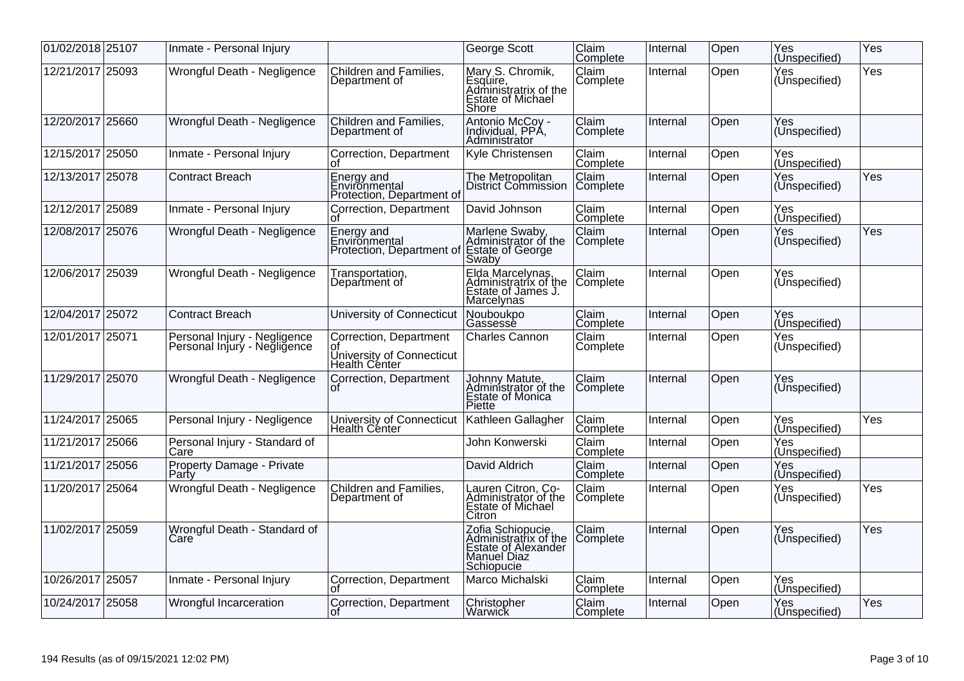| 01/02/2018 25107 | Inmate - Personal Injury                                     |                                                                            | George Scott                                                                                   | Claim<br>Complete        | Internal | Open | Yes<br>(Unspecified) | Yes |
|------------------|--------------------------------------------------------------|----------------------------------------------------------------------------|------------------------------------------------------------------------------------------------|--------------------------|----------|------|----------------------|-----|
| 12/21/2017 25093 | Wrongful Death - Negligence                                  | Children and Families,<br>Department of                                    | Mary S. Chromik,<br>Esquire,<br>Administratrix of the<br>Estate of Michael<br>Shore            | Claim<br>Complete        | Internal | Open | Yes<br>(Unspecified) | Yes |
| 12/20/2017 25660 | Wrongful Death - Negligence                                  | Children and Families,<br>Department of                                    | Antonio McCoy -<br>Individual, PPA,<br>Administrátor                                           | Claim<br>Complete        | Internal | Open | Yes<br>(Unspecified) |     |
| 12/15/2017 25050 | Inmate - Personal Injury                                     | Correction, Department                                                     | Kyle Christensen                                                                               | Claim<br>Complete        | Internal | Open | Yes<br>(Unspecified) |     |
| 12/13/2017 25078 | <b>Contract Breach</b>                                       | Energy and<br>Environmental<br>Protection, Department of                   | The Metropolitan<br><b>District Commission</b>                                                 | Claim<br>Complete        | Internal | Open | Yes<br>(Unspecified) | Yes |
| 12/12/2017 25089 | Inmate - Personal Injury                                     | Correction, Department                                                     | David Johnson                                                                                  | Claim<br>Complete        | Internal | Open | Yes<br>(Unspecified) |     |
| 12/08/2017 25076 | Wrongful Death - Negligence                                  | Energy and<br>Environmental<br>Protection, Department of                   | Marlene Swaby,<br>Administrator of the<br>Estate of George<br>Swaby                            | Claim<br>Complete        | Internal | Open | Yes<br>(Unspecified) | Yes |
| 12/06/2017 25039 | Wrongful Death - Negligence                                  | Transportation,<br>Department of                                           | Elda Marcelynas,<br>Administratrix of the<br>Estate of James J.<br>Marcelynas                  | Claim<br>Complete        | Internal | Open | Yes<br>(Unspecified) |     |
| 12/04/2017 25072 | <b>Contract Breach</b>                                       | University of Connecticut                                                  | Nouboukpo<br>Gassesse                                                                          | Claim<br>Complete        | Internal | Open | Yes<br>(Unspecified) |     |
| 12/01/2017 25071 | Personal Injury - Negligence<br>Personal Injury - Negligence | Correction, Department<br>οt<br>University of Connecticut<br>Health Cénter | Charles Cannon                                                                                 | <b>Claim</b><br>Complete | Internal | Open | Yes<br>(Unspecified) |     |
| 11/29/2017 25070 | Wrongful Death - Negligence                                  | Correction, Department                                                     | Johnny Matute,<br>Administrator of the<br>Estate of Monica<br>Piette                           | Claim<br>Complete        | Internal | Open | Yes<br>(Unspecified) |     |
| 11/24/2017 25065 | Personal Injury - Negligence                                 | University of Connecticut<br>Health Center                                 | Kathleen Gallagher                                                                             | Claim<br>Complete        | Internal | Open | Yes<br>(Unspecified) | Yes |
| 11/21/2017 25066 | Personal Injury - Standard of<br>Care                        |                                                                            | John Konwerski                                                                                 | Claim<br>Complete        | Internal | Open | Yes<br>(Unspecified) |     |
| 11/21/2017 25056 | Property Damage - Private<br>Party                           |                                                                            | David Aldrich                                                                                  | <b>Claim</b><br>Complete | Internal | Open | Yes<br>(Unspecified) |     |
| 11/20/2017 25064 | Wrongful Death - Negligence                                  | Children and Families,<br>Department of                                    | Lauren Citron, Co-<br>Administrator of the<br>Estate of Michael<br>Citron                      | Claim<br>Complete        | Internal | Open | Yes<br>(Unspecified) | Yes |
| 11/02/2017 25059 | Wrongful Death - Standard of<br>Care <sup>®</sup>            |                                                                            | Zofia Schiopucie,<br>Administratrix of the<br>Estate of Alexander<br>Manuel Diaz<br>Schiopucie | Claim<br>Complete        | Internal | Open | Yes<br>(Unspecified) | Yes |
| 10/26/2017 25057 | Inmate - Personal Injury                                     | Correction, Department                                                     | Marco Michalski                                                                                | Claim<br>Complete        | Internal | Open | Yes<br>(Unspecified) |     |
| 10/24/2017 25058 | <b>Wrongful Incarceration</b>                                | Correction, Department                                                     | Christopher<br>Warwick                                                                         | <b>Claim</b><br>Complete | Internal | Open | Yes<br>(Unspecified) | Yes |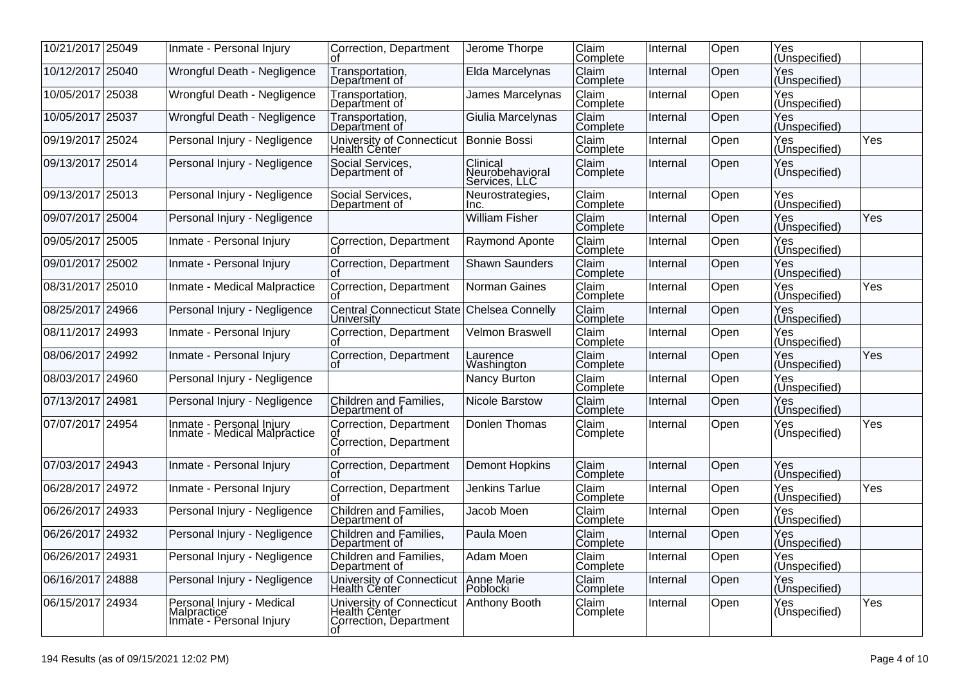| 10/21/2017 25049 | Inmate - Personal Injury                                             | Correction, Department                                                     | Jerome Thorpe                                | Claim<br> Comp <u>lete</u> | Internal | Open | Yes<br> (Un <u>specified)</u> |     |
|------------------|----------------------------------------------------------------------|----------------------------------------------------------------------------|----------------------------------------------|----------------------------|----------|------|-------------------------------|-----|
| 10/12/2017 25040 | Wrongful Death - Negligence                                          | Transportation,<br>Department of                                           | Elda Marcelynas                              | Claim<br>Complete          | Internal | Open | Yes<br>(Unspecified)          |     |
| 10/05/2017 25038 | Wrongful Death - Negligence                                          | Transportation,<br>Department of                                           | <b>James Marcelynas</b>                      | Claim<br>Complete          | Internal | Open | Yes<br>(Unspecified)          |     |
| 10/05/2017 25037 | Wrongful Death - Negligence                                          | Transportation,<br>Department of                                           | Giulia Marcelynas                            | Claim<br>Complete          | Internal | Open | Yes<br>(Unspecified)          |     |
| 09/19/2017 25024 | Personal Injury - Negligence                                         | University of Connecticut<br>Health Center                                 | Bonnie Bossi                                 | Claim<br>Complete          | Internal | Open | Yes<br>(Unspecified)          | Yes |
| 09/13/2017 25014 | Personal Injury - Negligence                                         | Social Services,<br>Department of                                          | Clinical<br>Neurobehavioral<br>Services, LLC | Claim<br>Complete          | Internal | Open | Yes<br>(Unspecified)          |     |
| 09/13/2017 25013 | Personal Injury - Negligence                                         | Social Services.<br>Department of                                          | Neurostrategies,<br>Inc.                     | Claim<br>Complete          | Internal | Open | Yes<br>(Unspecified)          |     |
| 09/07/2017 25004 | Personal Injury - Negligence                                         |                                                                            | <b>William Fisher</b>                        | Claim<br>Complete          | Internal | Open | Yes<br>(Unspecified)          | Yes |
| 09/05/2017 25005 | Inmate - Personal Injury                                             | Correction, Department<br>U.                                               | Raymond Aponte                               | Claim<br>Complete          | Internal | Open | Yes<br>(Unspecified)          |     |
| 09/01/2017 25002 | Inmate - Personal Injury                                             | Correction, Department                                                     | <b>Shawn Saunders</b>                        | Claim<br> Complete_        | Internal | Open | Yes<br>(Unspecified)          |     |
| 08/31/2017 25010 | Inmate - Medical Malpractice                                         | Correction, Department<br>Ωf                                               | Norman Gaines                                | Claim<br>Complete          | Internal | Open | Yes<br>(Unspecified)          | Yes |
| 08/25/2017 24966 | Personal Injury - Negligence                                         | Central Connecticut State<br>Universitv                                    | Chelsea Connelly                             | Claim<br>Complete          | Internal | Open | Yes<br>(Unspecified)          |     |
| 08/11/2017 24993 | Inmate - Personal Injury                                             | Correction, Department<br>Οt                                               | Velmon Braswell                              | Claim<br>Complete          | Internal | Open | Yes<br>(Unspecified)          |     |
| 08/06/2017 24992 | Inmate - Personal Injury                                             | Correction, Department                                                     | Laurence<br>Washington                       | Claim<br>Complete          | Internal | Open | Yes<br>(Unspecified)          | Yes |
| 08/03/2017 24960 | Personal Injury - Negligence                                         |                                                                            | Nancy Burton                                 | Claim<br>Complete          | Internal | Open | Yes<br>(Unspecified)          |     |
| 07/13/2017 24981 | Personal Injury - Negligence                                         | Children and Families,<br>Department of                                    | Nicole Barstow                               | Claim<br>Complete          | Internal | Open | Yes<br>(Unspecified)          |     |
| 07/07/2017 24954 | Inmate - Personal Injury<br>Inmate - Medical Malpractice             | Correction, Department<br>ot<br>Correction, Department<br>nt               | Donlen Thomas                                | Claim<br>Complete          | Internal | Open | Yes<br>(Unspecified)          | Yes |
| 07/03/2017 24943 | Inmate - Personal Injury                                             | Correction, Department                                                     | <b>Demont Hopkins</b>                        | Claim<br>Complete          | Internal | Open | Yes<br>(Unspecified)          |     |
| 06/28/2017 24972 | Inmate - Personal Injury                                             | Correction, Department                                                     | Jenkins Tarlue                               | Claim<br>Complete          | Internal | Open | Yes<br>(Unspecified)          | Yes |
| 06/26/2017 24933 | Personal Injury - Negligence                                         | Children and Families,<br>Department of                                    | Jacob Moen                                   | Claim<br>Complete          | Internal | Open | Yes<br>(Unspecified)          |     |
| 06/26/2017 24932 | Personal Injury - Negligence                                         | Children and Families,<br>Department of                                    | Paula Moen                                   | Claim<br>Complete          | Internal | Open | Yes<br>(Unspecified)          |     |
| 06/26/2017 24931 | Personal Injury - Negligence                                         | Children and Families,<br>Department of                                    | Adam Moen                                    | Claim<br>Complete          | Internal | Open | Yes<br>(Unspecified)          |     |
| 06/16/2017 24888 | Personal Injury - Negligence                                         | University of Connecticut<br>Health Cénter                                 | Anne Marie<br>Poblocki                       | Claim<br>Complete          | Internal | Open | Yes<br>(Unspecified)          |     |
| 06/15/2017 24934 | Personal Injury - Medical<br>Malpractice<br>Inmate - Personal Injury | University of Connecticut<br>Health Cénter<br>Correction, Department<br>Ωt | Anthony Booth                                | Claim<br>Complete          | Internal | Open | Yes<br>(Unspecified)          | Yes |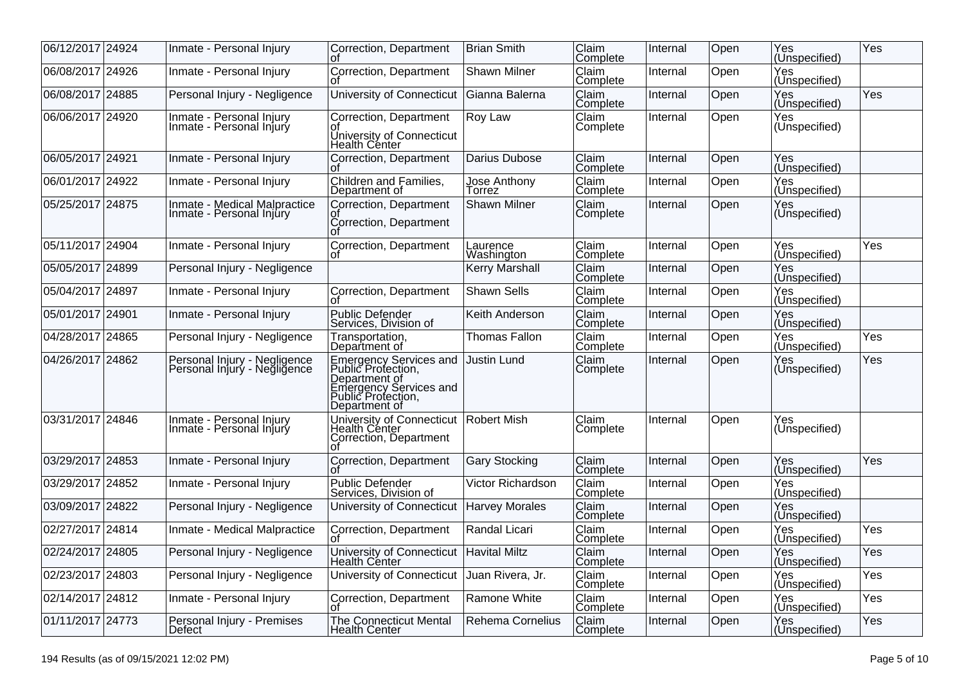| 06/12/2017 24924 | Inmate - Personal Injury                                        | Correction, Department                                                                                                                | <b>Brian Smith</b>     | Claim<br>Complete        | Internal | Open | Yes<br>(Unspecified)         | Yes |
|------------------|-----------------------------------------------------------------|---------------------------------------------------------------------------------------------------------------------------------------|------------------------|--------------------------|----------|------|------------------------------|-----|
| 06/08/2017 24926 | Inmate - Personal Injury                                        | Correction, Department                                                                                                                | <b>Shawn Milner</b>    | <b>Claim</b><br>Complete | Internal | Open | Yes<br>(Unspecified)         |     |
| 06/08/2017 24885 | Personal Injury - Negligence                                    | University of Connecticut                                                                                                             | Gianna Balerna         | Claim<br>Complete        | Internal | Open | Yes<br>(Unspecified)         | Yes |
| 06/06/2017 24920 | Inmate - Personal Injury<br>Inmate - Personal Injury            | Correction, Department<br>University of Connecticut<br>Health Center                                                                  | Roy Law                | Claim<br>Complete        | Internal | Open | Yes<br>(Unspecified)         |     |
| 06/05/2017 24921 | Inmate - Personal Injury                                        | Correction, Department                                                                                                                | Darius Dubose          | Claim<br>Complete        | Internal | Open | Yes<br>(Unspecified)         |     |
| 06/01/2017 24922 | Inmate - Personal Injury                                        | Children and Families,<br>Department of                                                                                               | Jose Anthony<br>Torrez | Claim<br>Complete        | Internal | Open | Yes<br>(Unspecified)         |     |
| 05/25/2017 24875 | <b>Inmate - Medical Malpractice</b><br>Inmate - Personal Injury | Correction, Department<br>Correction, Department                                                                                      | <b>Shawn Milner</b>    | Claim<br>Complete        | Internal | Open | Yes<br>(Unspecified)         |     |
| 05/11/2017 24904 | Inmate - Personal Injury                                        | Correction, Department                                                                                                                | Laurence<br>Washington | Claim<br>Complete        | Internal | Open | Yes<br>(Unspecified)         | Yes |
| 05/05/2017 24899 | Personal Injury - Negligence                                    |                                                                                                                                       | <b>Kerry Marshall</b>  | Claim<br>Complete        | Internal | Open | Yes<br>(Unspecified)         |     |
| 05/04/2017 24897 | Inmate - Personal Injury                                        | Correction, Department                                                                                                                | <b>Shawn Sells</b>     | Claim<br>Complete        | Internal | Open | Yes<br>(Unspecified)         |     |
| 05/01/2017 24901 | Inmate - Personal Injury                                        | <b>Public Defender</b><br>Services, Division of                                                                                       | Keith Anderson         | Claim<br>Complete        | Internal | Open | Yes<br>(Unspecified)         |     |
| 04/28/2017 24865 | Personal Injury - Negligence                                    | Transportation,<br>Department of                                                                                                      | <b>Thomas Fallon</b>   | Claim<br>Complete        | Internal | Open | Yes<br>(Unspecified)         | Yes |
| 04/26/2017 24862 | Personal Injury - Negligence<br>Personal Injury - Negligence    | <b>Emergency Services and</b><br>Public Protection,<br>Department of<br>Emergency Services and<br>Public Protection,<br>Department of | <b>Justin Lund</b>     | Claim<br>Complete        | Internal | Open | Yes<br>(Unspecified)         | Yes |
| 03/31/2017 24846 | Inmate - Personal Injury<br>Inmate - Personal Injury            | University of Connecticut<br>Health Center<br>Correction, Department                                                                  | Robert Mish            | <b>Claim</b><br>Complete | Internal | Open | Yes<br>(Unspecified)         |     |
| 03/29/2017 24853 | Inmate - Personal Injury                                        | Correction, Department                                                                                                                | <b>Gary Stocking</b>   | Claim<br>Complete        | Internal | Open | Yes<br>(U <u>nspecified)</u> | Yes |
| 03/29/2017 24852 | Inmate - Personal Injury                                        | <b>Public Defender</b><br>Services, Division of                                                                                       | Victor Richardson      | Claim<br>Complete        | Internal | Open | Yes<br>(Unspecified)         |     |
| 03/09/2017 24822 | Personal Injury - Negligence                                    | University of Connecticut                                                                                                             | <b>Harvey Morales</b>  | Claim<br>Complete        | Internal | Open | Yes<br>(Unspecified)         |     |
| 02/27/2017 24814 | Inmate - Medical Malpractice                                    | Correction, Department<br>Ωt                                                                                                          | Randal Licari          | Claim<br>Complete        | Internal | Open | Yes<br>(Un <u>specified)</u> | Yes |
| 02/24/2017 24805 | Personal Injury - Negligence                                    | University of Connecticut   Havital Miltz<br><b>Health Center</b>                                                                     |                        | Claim<br>Complete        | Internal | Open | Yes<br>(Unspecified)         | Yes |
| 02/23/2017 24803 | Personal Injury - Negligence                                    | University of Connecticut                                                                                                             | Juan Rivera, Jr.       | Claim<br>Complete        | Internal | Open | Yes<br>(Unspecified)         | Yes |
| 02/14/2017 24812 | Inmate - Personal Injury                                        | Correction, Department                                                                                                                | Ramone White           | Claim<br>Complete        | Internal | Open | Yes<br>(Unspecified)         | Yes |
| 01/11/2017 24773 | Personal Injury - Premises<br>Defect                            | <b>The Connecticut Mental</b><br><b>Health Center</b>                                                                                 | Rehema Cornelius       | Claim<br> Complete       | Internal | Open | Yes<br>(Unspecified)         | Yes |
|                  |                                                                 |                                                                                                                                       |                        |                          |          |      |                              |     |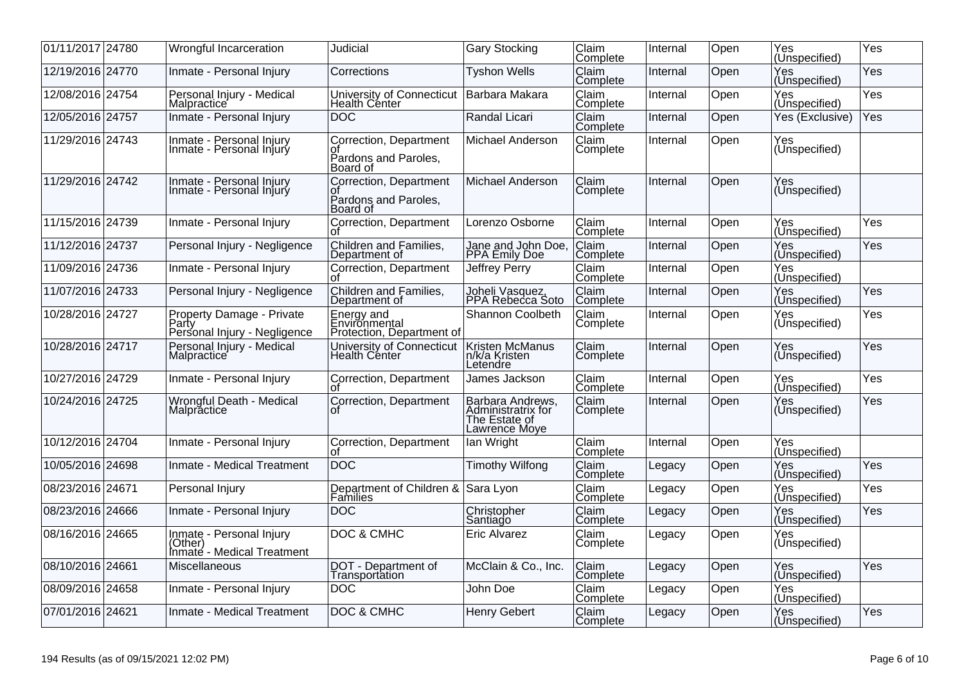| 01/11/2017 24780 | Wrongful Incarceration                                             | Judicial                                                         | <b>Gary Stocking</b>                                                     | Claim<br>Complete | Internal | Open | Yes<br>(Uns <u>pecified)</u> | Yes |
|------------------|--------------------------------------------------------------------|------------------------------------------------------------------|--------------------------------------------------------------------------|-------------------|----------|------|------------------------------|-----|
| 12/19/2016 24770 | Inmate - Personal Injury                                           | Corrections                                                      | <b>Tyshon Wells</b>                                                      | Claim<br>Complete | Internal | Open | Yes<br>(Unspecified)         | Yes |
| 12/08/2016 24754 | Personal Injury - Medical<br>Malpractice                           | University of Connecticut<br><b>Health Center</b>                | Barbara Makara                                                           | Claim<br>Complete | Internal | Open | Yes<br>(Unspecified)         | Yes |
| 12/05/2016 24757 | Inmate - Personal Injury                                           | <b>DOC</b>                                                       | Randal Licari                                                            | Claim<br>Complete | Internal | Open | Yes (Exclusive)              | Yes |
| 11/29/2016 24743 | Inmate - Personal Injury<br>Inmate - Personal Injury               | Correction, Department<br>οt<br>Pardons and Paroles,<br>Board of | Michael Anderson                                                         | Claim<br>Complete | Internal | Open | Yes<br>(Unspecified)         |     |
| 11/29/2016 24742 | Inmate - Personal Injury<br>Inmate - Personal Injury               | Correction, Department<br>Οt<br>Pardons and Paroles,<br>Board of | Michael Anderson                                                         | Claim<br>Complete | Internal | Open | Yes<br>(Unspecified)         |     |
| 11/15/2016 24739 | Inmate - Personal Injury                                           | Correction, Department                                           | Lorenzo Osborne                                                          | Claim<br>Complete | Internal | Open | Yes<br>(Unspecified)         | Yes |
| 11/12/2016 24737 | Personal Injury - Negligence                                       | Children and Families,<br>Department of                          | Jane and John Doe,<br>PPA Emily Doe                                      | Claim<br>Complete | Internal | Open | Yes<br>(Unspecified)         | Yes |
| 11/09/2016 24736 | Inmate - Personal Injury                                           | Correction, Department<br>Ωt                                     | Jeffrey Perry                                                            | Claim<br>Complete | Internal | Open | Yes<br>(Unspecified)         |     |
| 11/07/2016 24733 | Personal Injury - Negligence                                       | Children and Families,<br>Department of                          | Joheli Vasquez,<br>PPA Rebecca Soto                                      | Claim<br>Complete | Internal | Open | Yes<br>(Unspecified)         | Yes |
| 10/28/2016 24727 | Property Damage - Private<br>Party<br>Personal Injury - Negligence | Energy and<br>Environmental<br>Protection, Department of         | <b>Shannon Coolbeth</b>                                                  | Claim<br>Complete | Internal | Open | Yes<br>(Unspecified)         | Yes |
| 10/28/2016 24717 | Personal Injury - Medical<br>Malpractice                           | University of Connecticut<br>Health Center                       | Kristen McManus<br>n/k/a Kristen<br>Letendre                             | Claim<br>Complete | Internal | Open | Yes<br>(Unspecified)         | Yes |
| 10/27/2016 24729 | Inmate - Personal Injury                                           | Correction, Department<br>ΩŤ                                     | James Jackson                                                            | Claim<br>Complete | Internal | Open | Yes<br>(Unspecified)         | Yes |
| 10/24/2016 24725 | Wrongful Death - Medical<br>Malpractice                            | Correction, Department<br>Ωt                                     | Barbara Andrews,<br>Administratrix for<br>The Estate of<br>Lawrence Moye | Claim<br>Complete | Internal | Open | Yes<br>(Unspecified)         | Yes |
| 10/12/2016 24704 | Inmate - Personal Injury                                           | Correction, Department<br>οf                                     | lan Wright                                                               | Claim<br>Complete | Internal | Open | Yes<br>(Unspecified)         |     |
| 10/05/2016 24698 | Inmate - Medical Treatment                                         | <b>DOC</b>                                                       | <b>Timothy Wilfong</b>                                                   | Claim<br>Complete | Legacy   | Open | Yes<br>(Unspecified)         | Yes |
| 08/23/2016 24671 | Personal Injury                                                    | Department of Children & Sara Lyon                               |                                                                          | Claim<br>Complete | Legacy   | Open | Yes<br>(Unspecified)         | Yes |
| 08/23/2016 24666 | Inmate - Personal Injury                                           | <b>DOC</b>                                                       | Christopher<br>Santiado                                                  | Claim<br>Complete | Legacy   | Open | Yes<br>(Unspecified)         | Yes |
| 08/16/2016 24665 | Inmate - Personal Injury<br>(Other)<br>Inmate - Medical Treatment  | DOC & CMHC                                                       | <b>Eric Alvarez</b>                                                      | Claim<br>Complete | Legacy   | Open | Yes<br>(Unspecified)         |     |
| 08/10/2016 24661 | Miscellaneous                                                      | DOT - Department of<br>Transportation                            | McClain & Co., Inc.                                                      | Claim<br>Complete | Legacy   | Open | Yes<br>(Unspecified)         | Yes |
| 08/09/2016 24658 | Inmate - Personal Injury                                           | <b>DOC</b>                                                       | John Doe                                                                 | Claim<br>Complete | Legacy   | Open | Yes<br>(Unspecified)         |     |
| 07/01/2016 24621 | Inmate - Medical Treatment                                         | <b>DOC &amp; CMHC</b>                                            | <b>Henry Gebert</b>                                                      | Claim<br>Complete | Legacy   | Open | Yes<br>(Unspecified)         | Yes |
|                  |                                                                    |                                                                  |                                                                          |                   |          |      |                              |     |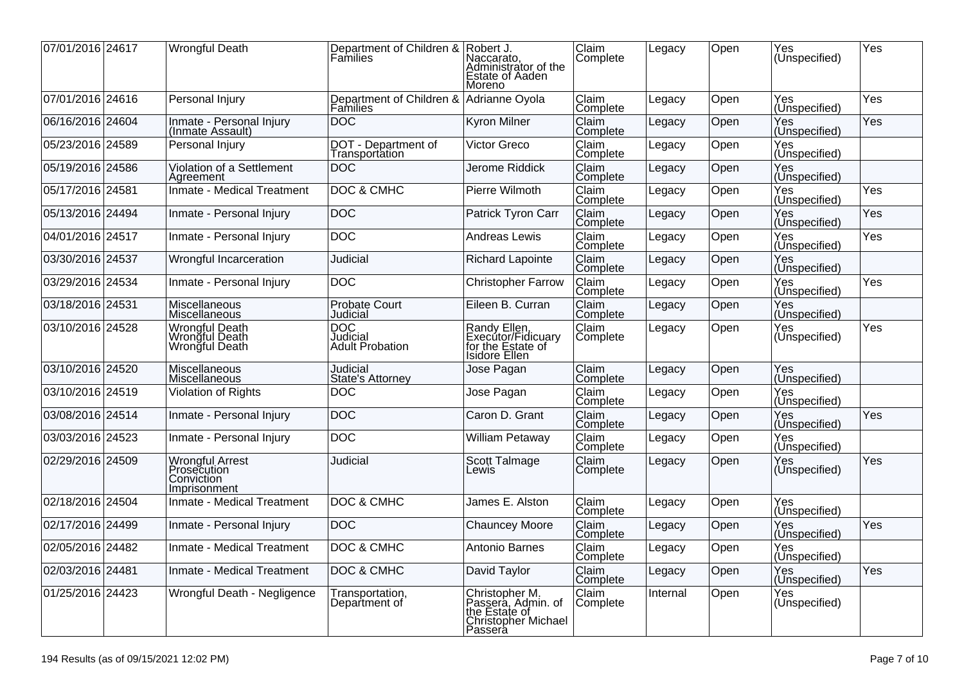| 07/01/2016 24617 | <b>Wrongful Death</b>                                        | Department of Children & Robert J.<br>Families | Naccarato,<br>Administrator of the<br>Estate of Aaden<br>Moreno                         | Claim<br>Complete | Legacy   | Open | Yes<br>(Unspecified)         | Yes |
|------------------|--------------------------------------------------------------|------------------------------------------------|-----------------------------------------------------------------------------------------|-------------------|----------|------|------------------------------|-----|
| 07/01/2016 24616 | Personal Injury                                              | Department of Children &<br>Families           | Adrianne Oyola                                                                          | Claim<br>Complete | Legacy   | Open | Yes<br>(Unspecified)         | Yes |
| 06/16/2016 24604 | Inmate - Personal Injury<br>(Inmate Assault)                 | <b>DOC</b>                                     | <b>Kyron Milner</b>                                                                     | Claim<br>Complete | Legacy   | Open | Yes<br>(Unspecified)         | Yes |
| 05/23/2016 24589 | Personal Injury                                              | DOT - Department of<br>Transportation          | Victor Greco                                                                            | Claim<br>Complete | Legacy   | Open | Yes<br>(Unspecified)         |     |
| 05/19/2016 24586 | Violation of a Settlement<br>Agreement                       | <b>DOC</b>                                     | Jerome Riddick                                                                          | Claim<br>Complete | Legacy   | Open | Yes<br>(Un <u>specified)</u> |     |
| 05/17/2016 24581 | Inmate - Medical Treatment                                   | <b>DOC &amp; CMHC</b>                          | Pierre Wilmoth                                                                          | Claim<br>Complete | Legacy   | Open | Yes<br>(Unspecified)         | Yes |
| 05/13/2016 24494 | Inmate - Personal Injury                                     | <b>DOC</b>                                     | Patrick Tyron Carr                                                                      | Claim<br>Complete | Legacy   | Open | Yes<br>(Unspecified)         | Yes |
| 04/01/2016 24517 | Inmate - Personal Injury                                     | <b>DOC</b>                                     | <b>Andreas Lewis</b>                                                                    | Claim<br>Complete | Legacy   | Open | Yes<br>(Unspecified)         | Yes |
| 03/30/2016 24537 | Wrongful Incarceration                                       | Judicial                                       | <b>Richard Lapointe</b>                                                                 | Claim<br>Complete | Legacy   | Open | Yes<br>(Unspecified)         |     |
| 03/29/2016 24534 | Inmate - Personal Injury                                     | <b>DOC</b>                                     | <b>Christopher Farrow</b>                                                               | Claim<br>Complete | Legacy   | Open | Yes<br>(Unspecified)         | Yes |
| 03/18/2016 24531 | Miscellaneous<br>Miscellaneous                               | Probate Court<br>Judicial                      | Eileen B. Curran                                                                        | Claim<br>Complete | Legacy   | Open | Yes<br>(Unspecified)         |     |
| 03/10/2016 24528 | Wrongful Death<br>Wrongful Death<br>Wrongful Death           | <b>DOC</b><br>Judicial<br>Adult Probation      | Randy Ellen,<br>Executor/Fidicuary<br>for the Estate of<br>Isidore Ellen                | Claim<br>Complete | Legacy   | Open | Yes<br>(Unspecified)         | Yes |
| 03/10/2016 24520 | Miscellaneous<br>Miscellaneous                               | <b>Judicial</b><br>State's Attorney            | Jose Pagan                                                                              | Claim<br>Complete | Legacy   | Open | Yes<br>(Unspecified)         |     |
| 03/10/2016 24519 | Violation of Rights                                          | <b>DOC</b>                                     | Jose Pagan                                                                              | Claim<br>Complete | Legacy   | Open | Yes<br>(Unspecified)         |     |
| 03/08/2016 24514 | Inmate - Personal Injury                                     | <b>DOC</b>                                     | Caron D. Grant                                                                          | Claim<br>Complete | Legacy   | Open | Yes<br>(U <u>nspecified)</u> | Yes |
| 03/03/2016 24523 | Inmate - Personal Injury                                     | DOC                                            | William Petaway                                                                         | Claim<br>Complete | Legacy   | Open | Yes<br>(Unspecified)         |     |
| 02/29/2016 24509 | Wrongful Arrest<br>Prosecution<br>Conviction<br>Imprisonment | Judicial                                       | Scott Talmage<br>Lewis                                                                  | Claim<br>Complete | Legacy   | Open | Yes<br>(Unspecified)         | Yes |
| 02/18/2016 24504 | Inmate - Medical Treatment                                   | DOC & CMHC                                     | James E. Alston                                                                         | Claim<br>Complete | Legacy   | Open | Yes<br>(Unspecified)         |     |
| 02/17/2016 24499 | Inmate - Personal Injury                                     | DOC                                            | <b>Chauncey Moore</b>                                                                   | Claim<br>Complete | Legacy   | Open | Yes<br>(Unspecified)         | Yes |
| 02/05/2016 24482 | Inmate - Medical Treatment                                   | <b>DOC &amp; CMHC</b>                          | Antonio Barnes                                                                          | Claim<br>Complete | Legacy   | Open | Yes<br>(Unspecified)         |     |
| 02/03/2016 24481 | Inmate - Medical Treatment                                   | DOC & CMHC                                     | David Taylor                                                                            | Claim<br>Complete | Legacy   | Open | Yes<br>(Unspecified)         | Yes |
| 01/25/2016 24423 | Wrongful Death - Negligence                                  | Transportation,<br>Department of               | Christopher M.<br>Passera, Admin. of<br>the Estate of<br>Christopher Michael<br>Passera | Claim<br>Complete | Internal | Open | Yes<br>(Unspecified)         |     |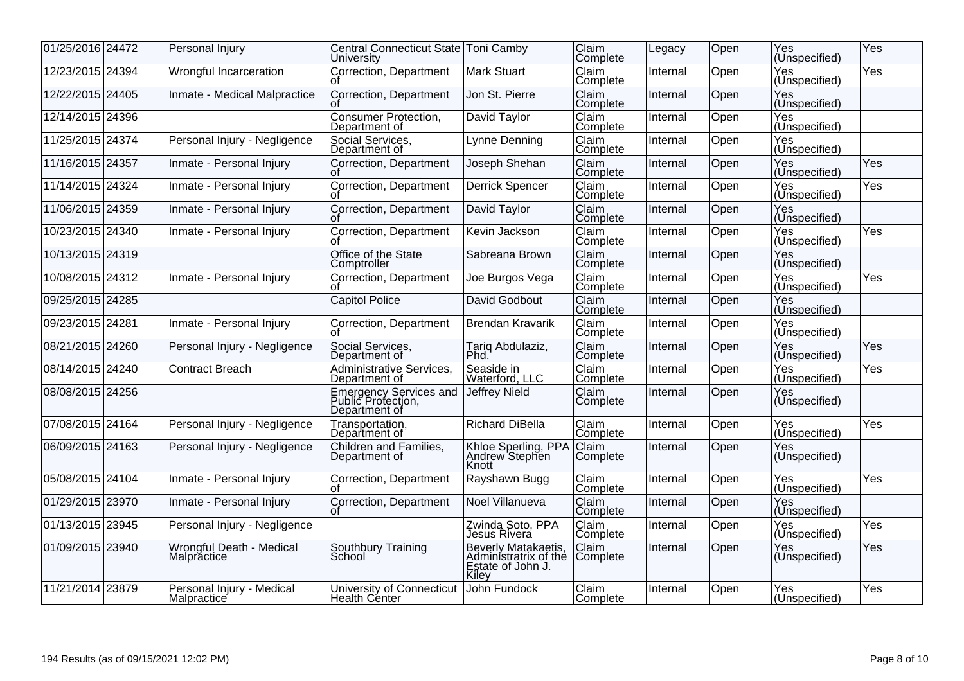| 01/25/2016 24472 | Personal Injury                                 | Central Connecticut State Toni Camby<br>University            |                                                                            | <b>Çlaim</b><br>Complete | Legacy   | Open | Yes<br>(Unspecified)         | Yes |
|------------------|-------------------------------------------------|---------------------------------------------------------------|----------------------------------------------------------------------------|--------------------------|----------|------|------------------------------|-----|
| 12/23/2015 24394 | Wrongful Incarceration                          | Correction, Department                                        | <b>Mark Stuart</b>                                                         | Claim<br>Complete        | Internal | Open | Yes<br>(Unspecified)         | Yes |
| 12/22/2015 24405 | Inmate - Medical Malpractice                    | Correction, Department                                        | Jon St. Pierre                                                             | Claim<br>Complete        | Internal | Open | Yes<br>(Unspecified)         |     |
| 12/14/2015 24396 |                                                 | Consumer Protection,<br>Department of                         | David Taylor                                                               | <b>Claim</b><br>Complete | Internal | Open | Yes<br>(Unspecified)         |     |
| 11/25/2015 24374 | Personal Injury - Negligence                    | Social Services,<br>Department of                             | Lynne Denning                                                              | Claim<br>Complete        | Internal | Open | Yes<br>(Uns <u>pecified)</u> |     |
| 11/16/2015 24357 | Inmate - Personal Injury                        | Correction, Department                                        | Joseph Shehan                                                              | Claim<br>Complete        | Internal | Open | Yes<br>(Unspecified)         | Yes |
| 11/14/2015 24324 | Inmate - Personal Injury                        | Correction, Department                                        | <b>Derrick Spencer</b>                                                     | <b>Claim</b><br>Complete | Internal | Open | Yes<br>(Unspecified)         | Yes |
| 11/06/2015 24359 | Inmate - Personal Injury                        | Correction, Department                                        | David Taylor                                                               | <b>Claim</b><br>Complete | Internal | Open | Yes<br>(Unspecified)         |     |
| 10/23/2015 24340 | Inmate - Personal Injury                        | Correction, Department                                        | Kevin Jackson                                                              | Claim<br>Complete        | Internal | Open | Yes<br>(Unspecified)         | Yes |
| 10/13/2015 24319 |                                                 | Office of the State<br>Comptroller                            | Sabreana Brown                                                             | Claim<br>Complete        | Internal | Open | Yes<br>(Unspecified)         |     |
| 10/08/2015 24312 | Inmate - Personal Injury                        | Correction, Department                                        | Joe Burgos Vega                                                            | Claim<br>Complete        | Internal | Open | Yes<br>(Unspecified)         | Yes |
| 09/25/2015 24285 |                                                 | <b>Capitol Police</b>                                         | David Godbout                                                              | Claim<br>Complete        | Internal | Open | Yes<br>(Unspecified)         |     |
| 09/23/2015 24281 | Inmate - Personal Injury                        | Correction, Department                                        | <b>Brendan Kravarik</b>                                                    | Claim<br>Complete        | Internal | Open | Yes<br>(Unspecified)         |     |
| 08/21/2015 24260 | Personal Injury - Negligence                    | Social Services,<br>Department of                             | Tariq Abdulaziz,<br>Phd                                                    | Claim<br>Complete        | Internal | Open | Yes<br>(Unspecified)         | Yes |
| 08/14/2015 24240 | <b>Contract Breach</b>                          | <b>Administrative Services.</b><br>Department of              | Seaside in<br>Waterford, LLC                                               | Claim<br>Complete        | Internal | Open | Yes<br>(Unspecified)         | Yes |
| 08/08/2015 24256 |                                                 | Emergency Services and<br>Public Protection,<br>Department of | Jeffrey Nield                                                              | Claim<br>Complete        | Internal | Open | Yes<br> (Unspecified)        |     |
| 07/08/2015 24164 | Personal Injury - Negligence                    | Transportation,<br>Department of                              | <b>Richard DiBella</b>                                                     | Claim<br>Complete        | Internal | Open | Yes<br>(Unspecified)         | Yes |
| 06/09/2015 24163 | Personal Injury - Negligence                    | Children and Families,<br>Department of                       | Khloe Sperling, PPA<br>Andrew Stephen<br><b>Knott</b>                      | Claim<br>Complete        | Internal | Open | Yes<br>(Unspecified)         |     |
| 05/08/2015 24104 | Inmate - Personal Injury                        | Correction, Department<br>Ωt                                  | Rayshawn Bugg                                                              | Claim<br>Complete        | Internal | Open | Yes<br>(Unspecified)         | Yes |
| 01/29/2015 23970 | Inmate - Personal Injury                        | Correction, Department                                        | Noel Villanueva                                                            | Claim<br>Complete        | Internal | Open | Yes<br>(Un <u>specified)</u> |     |
| 01/13/2015 23945 | Personal Injury - Negligence                    |                                                               | Zwinda Soto, PPA<br>Jesus Rivera                                           | Claim<br>Complete        | Internal | Open | Yes<br>(Unspecified)         | Yes |
| 01/09/2015 23940 | Wrongful Death - Medical<br>Malpractice         | Southbury Training<br>School                                  | Beverly Matakaetis,<br>Administratrix of the<br>Estate of John J.<br>Kilev | Claim<br>Complete        | Internal | Open | Yes<br>(Unspecified)         | Yes |
| 11/21/2014 23879 | Personal Injury - Medical<br><b>Malpractice</b> | University of Connecticut<br>Health Cénter                    | John Fundock                                                               | Claim<br>Complete        | Internal | Open | Yes<br>(Unspecified)         | Yes |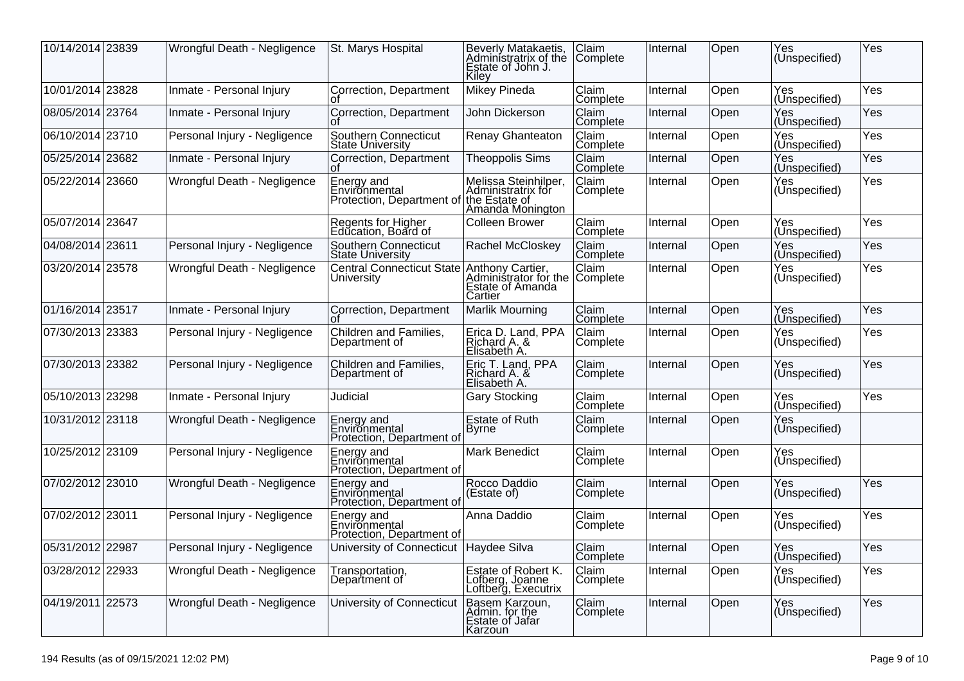| 10/14/2014 23839 | Wrongful Death - Negligence  | St. Marys Hospital                                                     | Beverly Matakaetis,<br>Administratrix of the<br>Estate of John J.<br>Kiley | Claim<br>Complete        | Internal | Open | Yes<br>(Unspecified) | Yes |
|------------------|------------------------------|------------------------------------------------------------------------|----------------------------------------------------------------------------|--------------------------|----------|------|----------------------|-----|
| 10/01/2014 23828 | Inmate - Personal Injury     | Correction, Department                                                 | <b>Mikey Pineda</b>                                                        | Claim<br>Complete        | Internal | Open | Yes<br>(Unspecified) | Yes |
| 08/05/2014 23764 | Inmate - Personal Injury     | Correction, Department                                                 | John Dickerson                                                             | Claim<br>Complete        | Internal | Open | Yes<br>(Unspecified) | Yes |
| 06/10/2014 23710 | Personal Injury - Negligence | Southern Connecticut<br><b>State University</b>                        | Renay Ghanteaton                                                           | Claim<br>Complete        | Internal | Open | Yes<br>(Unspecified) | Yes |
| 05/25/2014 23682 | Inmate - Personal Injury     | Correction, Department                                                 | <b>Theoppolis Sims</b>                                                     | Claim<br>Complete        | Internal | Open | Yes<br>(Unspecified) | Yes |
| 05/22/2014 23660 | Wrongful Death - Negligence  | Energy and<br>Environmental<br>Protection, Department of the Estate of | Melissa Steinhilper,<br>Administratrix for<br>Amanda Monington             | Claim<br>Complete        | Internal | Open | Yes<br>(Unspecified) | Yes |
| 05/07/2014 23647 |                              | Regents for Higher<br>Education, Board of                              | <b>Colleen Brower</b>                                                      | Claim<br>Complete        | Internal | Open | Yes<br>(Unspecified) | Yes |
| 04/08/2014 23611 | Personal Injury - Negligence | Southern Connecticut<br><b>State University</b>                        | Rachel McCloskey                                                           | Claim<br>Complete        | Internal | Open | Yes<br>(Unspecified) | Yes |
| 03/20/2014 23578 | Wrongful Death - Negligence  | <b>Central Connecticut State</b><br>University                         | Anthony Cartier,<br>Administrator for the<br>Estate of Amanda<br>Cartier   | Claim<br> Complete       | Internal | Open | Yes<br>(Unspecified) | Yes |
| 01/16/2014 23517 | Inmate - Personal Injury     | Correction, Department                                                 | <b>Marlik Mourning</b>                                                     | Claim<br>Complete        | Internal | Open | Yes<br>(Unspecified) | Yes |
| 07/30/2013 23383 | Personal Injury - Negligence | Children and Families,<br>Department of                                | Erica D. Land, PPA<br>Richard A. &<br>Elisabeth A.                         | Claim<br>Complete        | Internal | Open | Yes<br>(Unspecified) | Yes |
| 07/30/2013 23382 | Personal Injury - Negligence | Children and Families,<br>Department of                                | Eric T. Land, PPA<br>Richard A. &<br>Elisabeth A.                          | Claim<br>Complete        | Internal | Open | Yes<br>(Unspecified) | Yes |
| 05/10/2013 23298 | Inmate - Personal Injury     | Judicial                                                               | <b>Gary Stocking</b>                                                       | Claim<br>Complete        | Internal | Open | Yes<br>(Unspecified) | Yes |
| 10/31/2012 23118 | Wrongful Death - Negligence  | Energy and<br>Environmental<br>Protection, Department of               | Estate of Ruth<br>Byrne                                                    | Claim<br>Complete        | Internal | Open | Yes<br>(Unspecified) |     |
| 10/25/2012 23109 | Personal Injury - Negligence | Energy and<br>Environmental<br>Protection, Department of               | Mark Benedict                                                              | Claim<br>Complete        | Internal | Open | Yes<br>(Unspecified) |     |
| 07/02/2012 23010 | Wrongful Death - Negligence  | Energy and<br>Environmental<br>Protection, Department of               | Rocco Daddio<br>(Estate of)                                                | Claim<br>Complete        | Internal | Open | Yes<br>(Unspecified) | Yes |
| 07/02/2012 23011 | Personal Injury - Negligence | Energy and<br>Environmental<br>Protection, Department of               | Anna Daddio                                                                | Claim<br>Complete        | Internal | Open | Yes<br>(Unspecified) | Yes |
| 05/31/2012 22987 | Personal Injury - Negligence | University of Connecticut                                              | Haydee Silva                                                               | Claim<br>Complete        | Internal | Open | Yes<br>(Unspecified) | Yes |
| 03/28/2012 22933 | Wrongful Death - Negligence  | Transportation,<br>Department of                                       | Estate of Robert K.<br>Lofberg, Joanne<br>Loftberg, Executrix              | <b>Claim</b><br>Complete | Internal | Open | Yes<br>(Unspecified) | Yes |
| 04/19/2011 22573 | Wrongful Death - Negligence  | University of Connecticut                                              | Basem Karzoun,<br>Admin. for the<br>Estate of Jafar<br>Karzoun             | Claim<br>Complete        | Internal | Open | Yes<br>(Unspecified) | Yes |